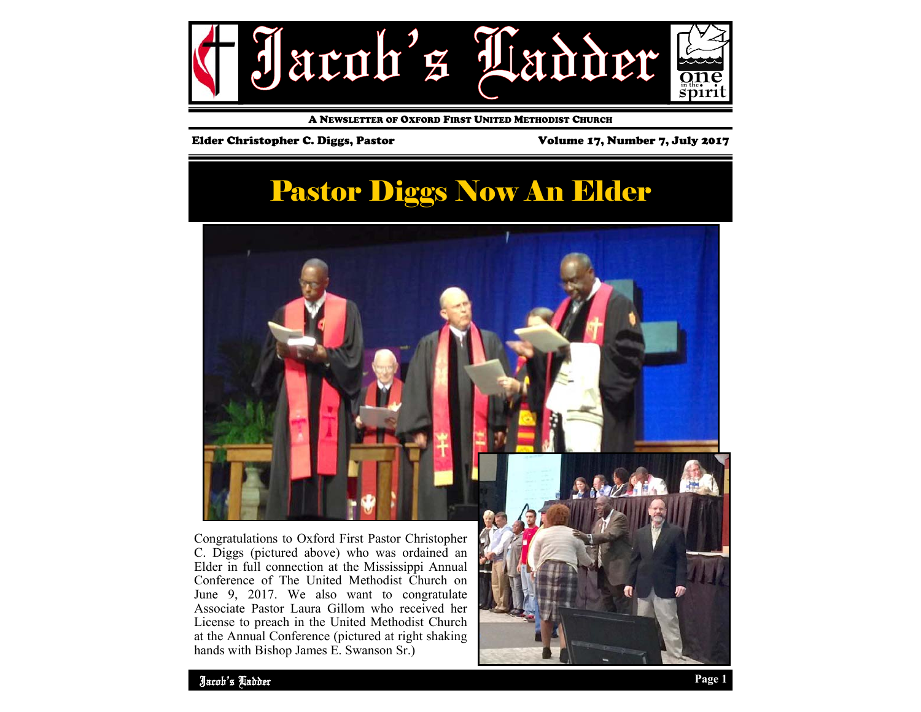

A NEWSLETTER OF OXFORD FIRST UNITED METHODIST CHURCH

#### Elder Christopher C. Diggs, Pastor Volume 17, Number 7, July 2017

### Pastor Diggs Now An Elder



C. Diggs (pictured above) who was ordained an Elder in full connection at the Mississippi Annual Conference of The United Methodist Church on June 9, 2017. We also want to congratulate Associate Pastor Laura Gillom who received her License to preach in the United Methodist Church at the Annual Conference (pictured at right shaking hands with Bishop James E. Swanson Sr.)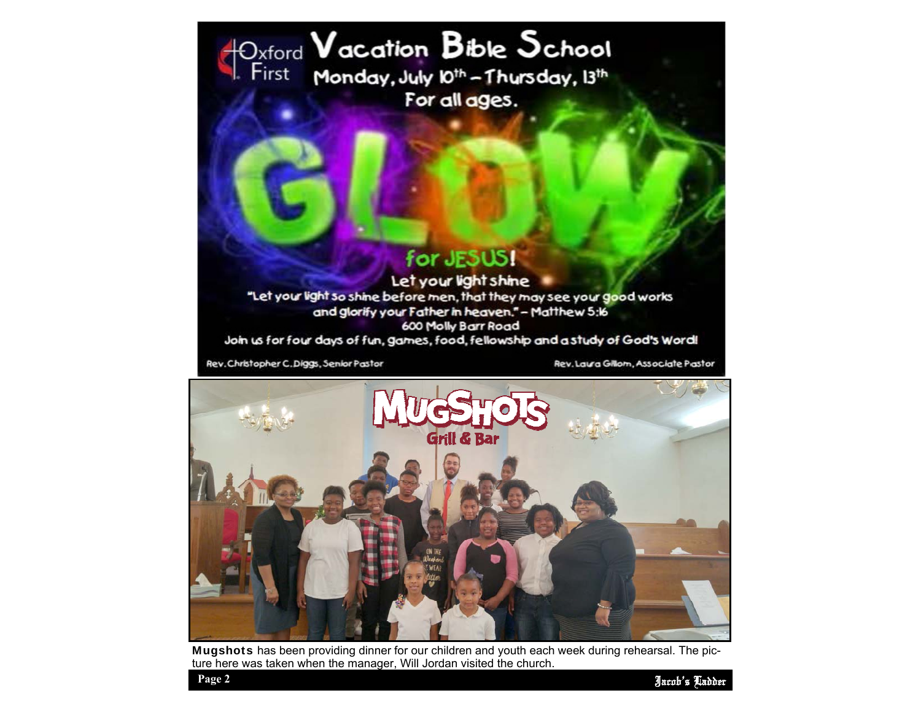## Dxford Vacation Bible School For all ages.

### for JESUS!

Let your light shine "Let your light so shine before men, that they may see your good works and glorify your Father in heaven." - Matthew 5:16 600 Molly Barr Road Join us for four days of fun, games, food, fellowship and a study of God's Word!

Rev. Christopher C. Diggs, Senior Pastor

Rev. Laura Gillom, Associate Pastor



Mugshots has been providing dinner for our children and youth each week during rehearsal. The picture here was taken when the manager, Will Jordan visited the church.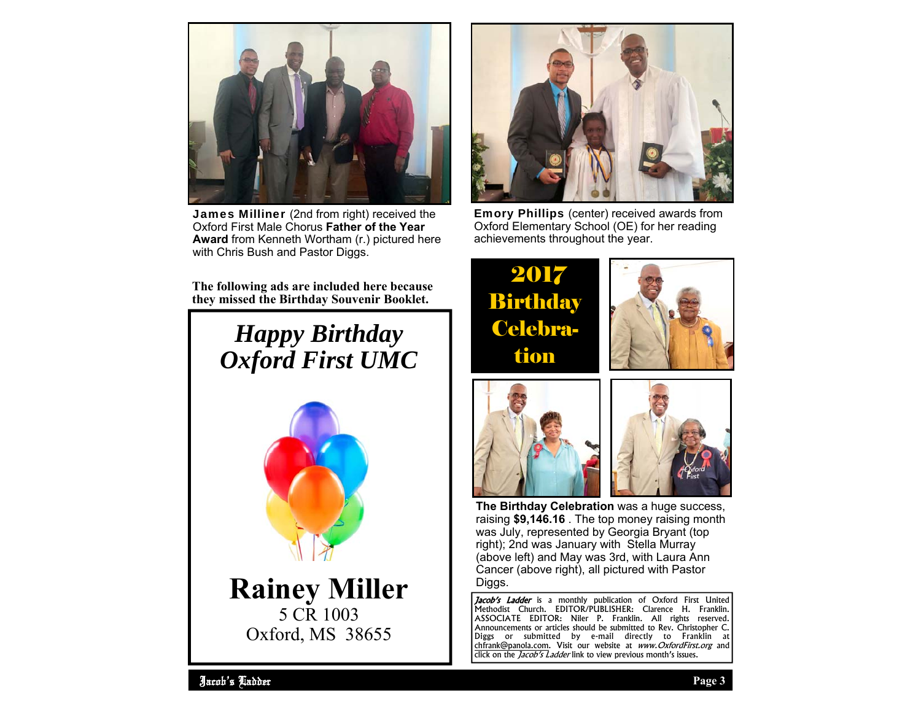

James Milliner (2nd from right) received the Oxford First Male Chorus **Father of the Year Award** from Kenneth Wortham (r.) pictured here with Chris Bush and Pastor Diggs.

**The following ads are included here because they missed the Birthday Souvenir Booklet.** 

# *Happy Birthday Oxford First UMC*



**Rainey Miller**  5 CR 1003 Oxford, MS 38655



Emory Phillips (center) received awards from Oxford Elementary School (OE) for her reading achievements throughout the year.

2017 **Birthday** Celebration







**The Birthday Celebration** was a huge success, raising **\$9,146.16** . The top money raising month was July, represented by Georgia Bryant (top right); 2nd was January with Stella Murray (above left) and May was 3rd, with Laura Ann Cancer (above right), all pictured with Pastor Diggs.

Jacob's Ladder is a monthly publication of Oxford First United Methodist Church. EDITOR/PUBLISHER: Clarence H. Franklin. ASSOCIATE EDITOR: Niler P. Franklin. All rights reserved. Announcements or articles should be submitted to Rev. Christopher C. Diggs or submitted by e-mail directly to Franklin at chfrank@panola.com. Visit our website at www.OxfordFirst.org and click on the *Jacob's Ladder* link to view previous month's issues.